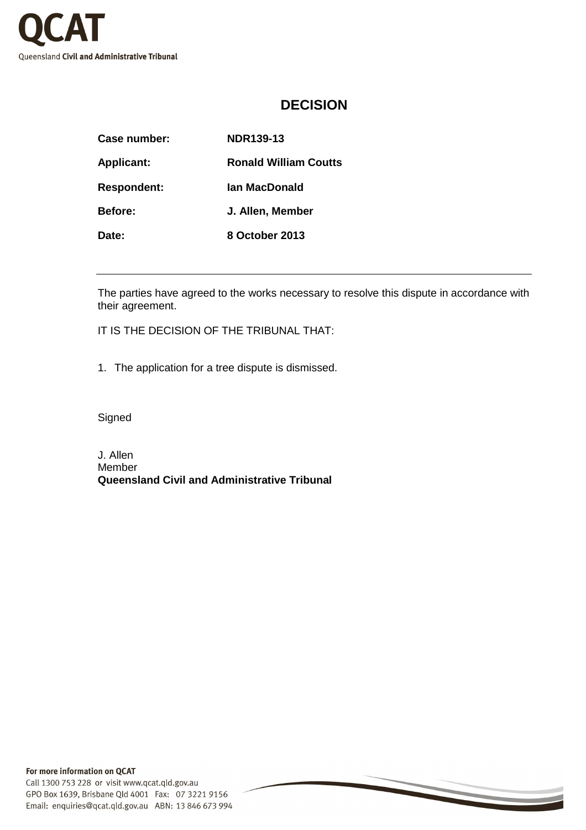

## **DECISION**

| Case number:       | NDR139-13                    |
|--------------------|------------------------------|
| <b>Applicant:</b>  | <b>Ronald William Coutts</b> |
| <b>Respondent:</b> | lan MacDonald                |
| <b>Before:</b>     | J. Allen, Member             |
| Date:              | 8 October 2013               |

The parties have agreed to the works necessary to resolve this dispute in accordance with their agreement.

IT IS THE DECISION OF THE TRIBUNAL THAT:

1. The application for a tree dispute is dismissed.

Signed

J. Allen Member **Queensland Civil and Administrative Tribunal**